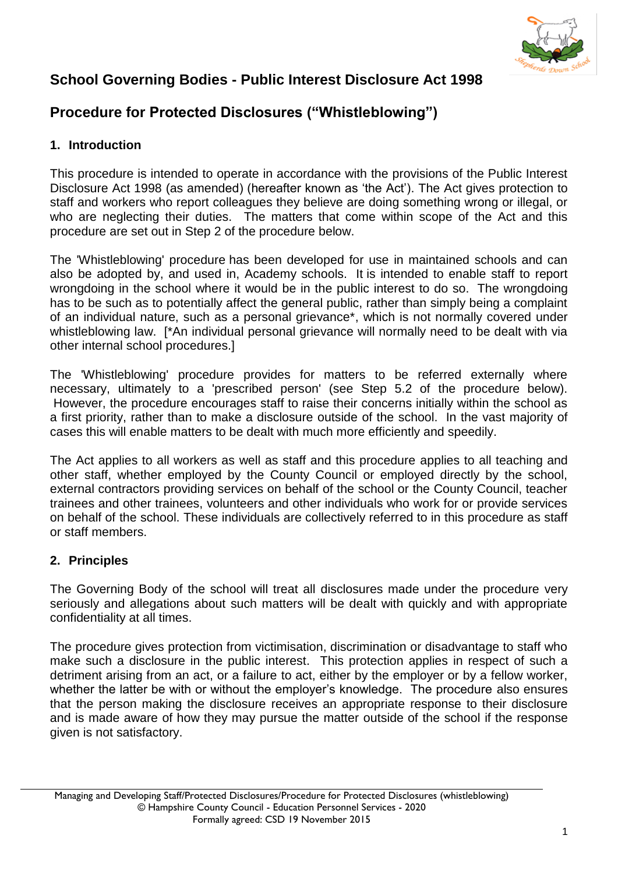

# **School Governing Bodies - Public Interest Disclosure Act 1998**

# **Procedure for Protected Disclosures ("Whistleblowing")**

## **1. Introduction**

This procedure is intended to operate in accordance with the provisions of the Public Interest Disclosure Act 1998 (as amended) (hereafter known as 'the Act'). The Act gives protection to staff and workers who report colleagues they believe are doing something wrong or illegal, or who are neglecting their duties. The matters that come within scope of the Act and this procedure are set out in Step 2 of the procedure below.

The 'Whistleblowing' procedure has been developed for use in maintained schools and can also be adopted by, and used in, Academy schools. It is intended to enable staff to report wrongdoing in the school where it would be in the public interest to do so. The wrongdoing has to be such as to potentially affect the general public, rather than simply being a complaint of an individual nature, such as a personal grievance\*, which is not normally covered under whistleblowing law. [\*An individual personal grievance will normally need to be dealt with via other internal school procedures.]

The 'Whistleblowing' procedure provides for matters to be referred externally where necessary, ultimately to a 'prescribed person' (see Step 5.2 of the procedure below). However, the procedure encourages staff to raise their concerns initially within the school as a first priority, rather than to make a disclosure outside of the school. In the vast majority of cases this will enable matters to be dealt with much more efficiently and speedily.

The Act applies to all workers as well as staff and this procedure applies to all teaching and other staff, whether employed by the County Council or employed directly by the school, external contractors providing services on behalf of the school or the County Council, teacher trainees and other trainees, volunteers and other individuals who work for or provide services on behalf of the school. These individuals are collectively referred to in this procedure as staff or staff members.

## **2. Principles**

The Governing Body of the school will treat all disclosures made under the procedure very seriously and allegations about such matters will be dealt with quickly and with appropriate confidentiality at all times.

The procedure gives protection from victimisation, discrimination or disadvantage to staff who make such a disclosure in the public interest. This protection applies in respect of such a detriment arising from an act, or a failure to act, either by the employer or by a fellow worker, whether the latter be with or without the employer's knowledge. The procedure also ensures that the person making the disclosure receives an appropriate response to their disclosure and is made aware of how they may pursue the matter outside of the school if the response given is not satisfactory.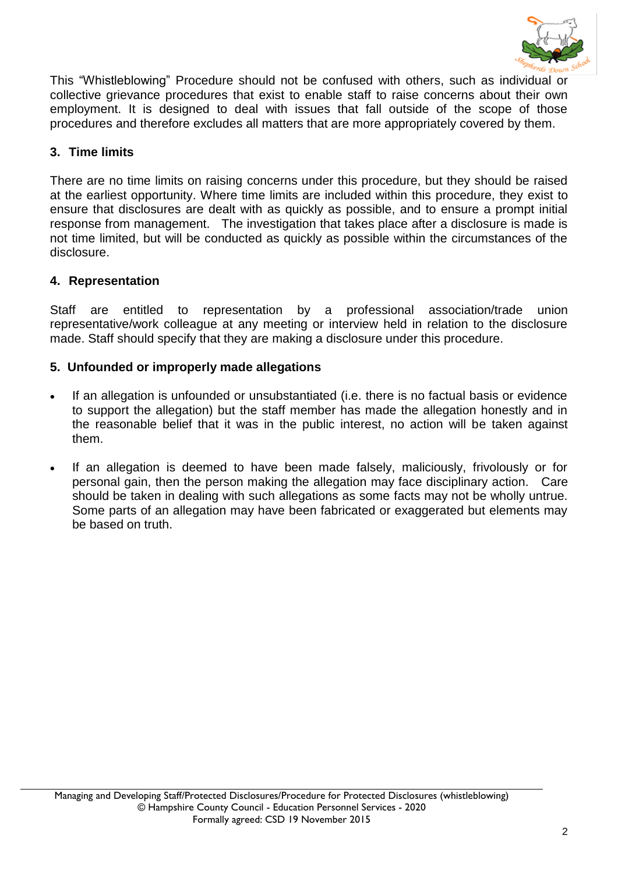

This "Whistleblowing" Procedure should not be confused with others, such as individual or collective grievance procedures that exist to enable staff to raise concerns about their own employment. It is designed to deal with issues that fall outside of the scope of those procedures and therefore excludes all matters that are more appropriately covered by them.

## **3. Time limits**

There are no time limits on raising concerns under this procedure, but they should be raised at the earliest opportunity. Where time limits are included within this procedure, they exist to ensure that disclosures are dealt with as quickly as possible, and to ensure a prompt initial response from management. The investigation that takes place after a disclosure is made is not time limited, but will be conducted as quickly as possible within the circumstances of the disclosure.

## **4. Representation**

Staff are entitled to representation by a professional association/trade union representative/work colleague at any meeting or interview held in relation to the disclosure made. Staff should specify that they are making a disclosure under this procedure.

#### **5. Unfounded or improperly made allegations**

- If an allegation is unfounded or unsubstantiated (i.e. there is no factual basis or evidence to support the allegation) but the staff member has made the allegation honestly and in the reasonable belief that it was in the public interest, no action will be taken against them.
- If an allegation is deemed to have been made falsely, maliciously, frivolously or for personal gain, then the person making the allegation may face disciplinary action. Care should be taken in dealing with such allegations as some facts may not be wholly untrue. Some parts of an allegation may have been fabricated or exaggerated but elements may be based on truth.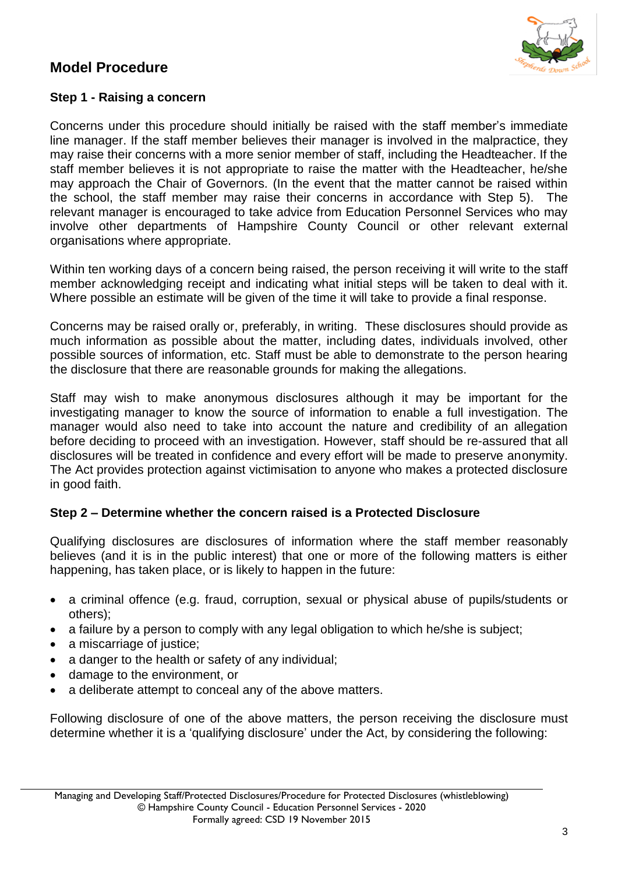# **Model Procedure**



#### **Step 1 - Raising a concern**

Concerns under this procedure should initially be raised with the staff member's immediate line manager. If the staff member believes their manager is involved in the malpractice, they may raise their concerns with a more senior member of staff, including the Headteacher. If the staff member believes it is not appropriate to raise the matter with the Headteacher, he/she may approach the Chair of Governors. (In the event that the matter cannot be raised within the school, the staff member may raise their concerns in accordance with Step 5). The relevant manager is encouraged to take advice from Education Personnel Services who may involve other departments of Hampshire County Council or other relevant external organisations where appropriate.

Within ten working days of a concern being raised, the person receiving it will write to the staff member acknowledging receipt and indicating what initial steps will be taken to deal with it. Where possible an estimate will be given of the time it will take to provide a final response.

Concerns may be raised orally or, preferably, in writing. These disclosures should provide as much information as possible about the matter, including dates, individuals involved, other possible sources of information, etc. Staff must be able to demonstrate to the person hearing the disclosure that there are reasonable grounds for making the allegations.

Staff may wish to make anonymous disclosures although it may be important for the investigating manager to know the source of information to enable a full investigation. The manager would also need to take into account the nature and credibility of an allegation before deciding to proceed with an investigation. However, staff should be re-assured that all disclosures will be treated in confidence and every effort will be made to preserve anonymity. The Act provides protection against victimisation to anyone who makes a protected disclosure in good faith.

#### **Step 2 – Determine whether the concern raised is a Protected Disclosure**

Qualifying disclosures are disclosures of information where the staff member reasonably believes (and it is in the public interest) that one or more of the following matters is either happening, has taken place, or is likely to happen in the future:

- a criminal offence (e.g. fraud, corruption, sexual or physical abuse of pupils/students or others);
- a failure by a person to comply with any legal obligation to which he/she is subject;
- a miscarriage of justice;
- a danger to the health or safety of any individual;
- damage to the environment, or
- a deliberate attempt to conceal any of the above matters.

Following disclosure of one of the above matters, the person receiving the disclosure must determine whether it is a 'qualifying disclosure' under the Act, by considering the following: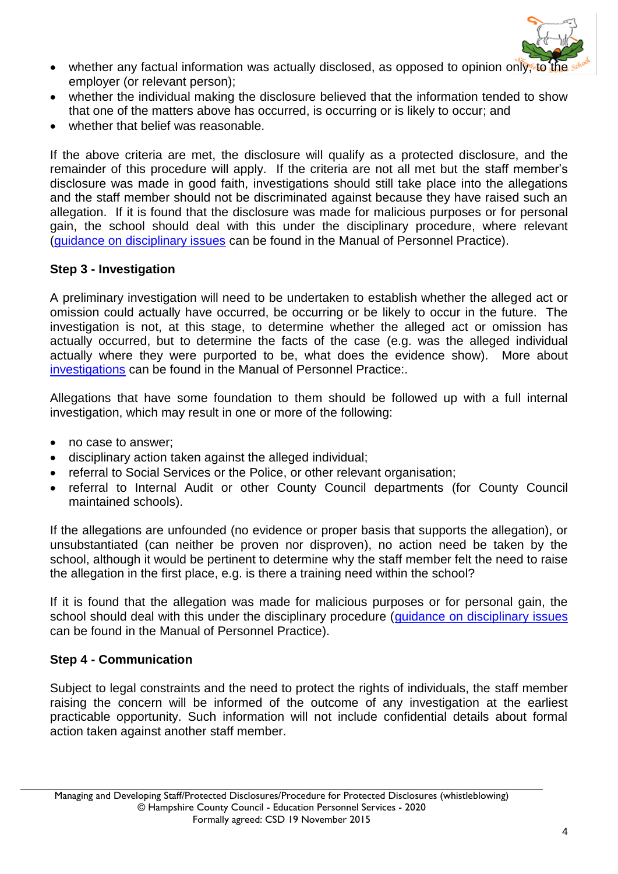

- whether any factual information was actually disclosed, as opposed to opinion only, to employer (or relevant person);
- whether the individual making the disclosure believed that the information tended to show that one of the matters above has occurred, is occurring or is likely to occur; and
- whether that belief was reasonable.

If the above criteria are met, the disclosure will qualify as a protected disclosure, and the remainder of this procedure will apply. If the criteria are not all met but the staff member's disclosure was made in good faith, investigations should still take place into the allegations and the staff member should not be discriminated against because they have raised such an allegation. If it is found that the disclosure was made for malicious purposes or for personal gain, the school should deal with this under the disciplinary procedure, where relevant [\(guidance on disciplinary issues](https://www.hants.gov.uk/educationandlearning/education-personnel-services/manual/managing-staff/discipline) can be found in the Manual of Personnel Practice).

## **Step 3 - Investigation**

A preliminary investigation will need to be undertaken to establish whether the alleged act or omission could actually have occurred, be occurring or be likely to occur in the future. The investigation is not, at this stage, to determine whether the alleged act or omission has actually occurred, but to determine the facts of the case (e.g. was the alleged individual actually where they were purported to be, what does the evidence show). More about [investigations](https://www.hants.gov.uk/educationandlearning/education-personnel-services/manual/managing-staff/conducting-investigation) can be found in the Manual of Personnel Practice:.

Allegations that have some foundation to them should be followed up with a full internal investigation, which may result in one or more of the following:

- no case to answer;
- disciplinary action taken against the alleged individual;
- referral to Social Services or the Police, or other relevant organisation;
- referral to Internal Audit or other County Council departments (for County Council maintained schools).

If the allegations are unfounded (no evidence or proper basis that supports the allegation), or unsubstantiated (can neither be proven nor disproven), no action need be taken by the school, although it would be pertinent to determine why the staff member felt the need to raise the allegation in the first place, e.g. is there a training need within the school?

If it is found that the allegation was made for malicious purposes or for personal gain, the school should deal with this under the disciplinary procedure [\(guidance on disciplinary issues](https://www.hants.gov.uk/educationandlearning/education-personnel-services/manual/managing-staff/discipline) can be found in the Manual of Personnel Practice).

# **Step 4 - Communication**

Subject to legal constraints and the need to protect the rights of individuals, the staff member raising the concern will be informed of the outcome of any investigation at the earliest practicable opportunity. Such information will not include confidential details about formal action taken against another staff member.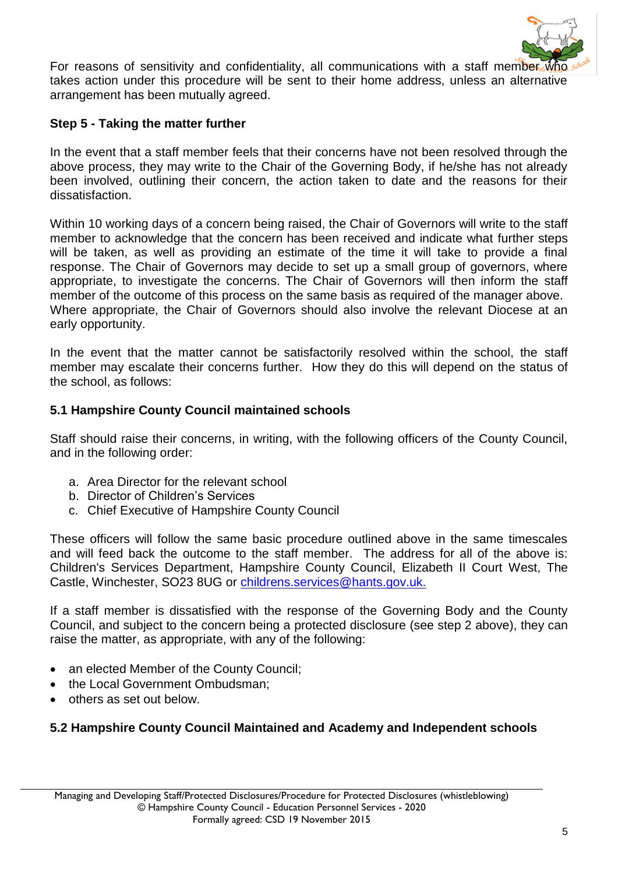

For reasons of sensitivity and confidentiality, all communications with a staff member where takes action under this procedure will be sent to their home address, unless an alternative arrangement has been mutually agreed.

#### **Step 5 - Taking the matter further**

In the event that a staff member feels that their concerns have not been resolved through the above process, they may write to the Chair of the Governing Body, if he/she has not already been involved, outlining their concern, the action taken to date and the reasons for their dissatisfaction.

Within 10 working days of a concern being raised, the Chair of Governors will write to the staff member to acknowledge that the concern has been received and indicate what further steps will be taken, as well as providing an estimate of the time it will take to provide a final response. The Chair of Governors may decide to set up a small group of governors, where appropriate, to investigate the concerns. The Chair of Governors will then inform the staff member of the outcome of this process on the same basis as required of the manager above. Where appropriate, the Chair of Governors should also involve the relevant Diocese at an early opportunity.

In the event that the matter cannot be satisfactorily resolved within the school, the staff member may escalate their concerns further. How they do this will depend on the status of the school, as follows:

#### **5.1 Hampshire County Council maintained schools**

Staff should raise their concerns, in writing, with the following officers of the County Council, and in the following order:

- a. Area Director for the relevant school
- b. Director of Children's Services
- c. Chief Executive of Hampshire County Council

These officers will follow the same basic procedure outlined above in the same timescales and will feed back the outcome to the staff member. The address for all of the above is: Children's Services Department, Hampshire County Council, Elizabeth II Court West, The Castle, Winchester, SO23 8UG or [childrens.services@hants.gov.uk.](mailto:childrens.services@hants.gov.uk)

If a staff member is dissatisfied with the response of the Governing Body and the County Council, and subject to the concern being a protected disclosure (see step 2 above), they can raise the matter, as appropriate, with any of the following:

- an elected Member of the County Council;
- the Local Government Ombudsman:
- others as set out below.

## **5.2 Hampshire County Council Maintained and Academy and Independent schools**